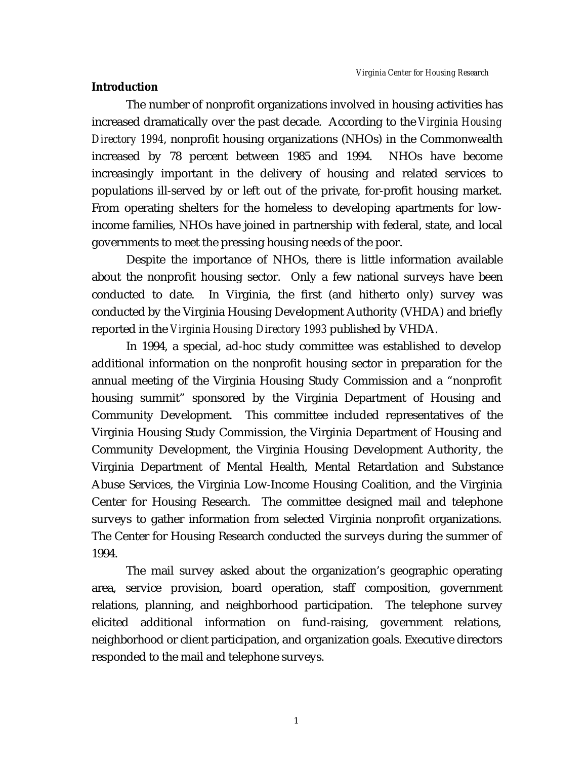# **Introduction**

The number of nonprofit organizations involved in housing activities has increased dramatically over the past decade. According to the *Virginia Housing Directory 1994*, nonprofit housing organizations (NHOs) in the Commonwealth increased by 78 percent between 1985 and 1994. NHOs have become increasingly important in the delivery of housing and related services to populations ill-served by or left out of the private, for-profit housing market. From operating shelters for the homeless to developing apartments for lowincome families, NHOs have joined in partnership with federal, state, and local governments to meet the pressing housing needs of the poor.

Despite the importance of NHOs, there is little information available about the nonprofit housing sector. Only a few national surveys have been conducted to date. In Virginia, the first (and hitherto only) survey was conducted by the Virginia Housing Development Authority (VHDA) and briefly reported in the *Virginia Housing Directory 1993* published by VHDA.

In 1994, a special, ad-hoc study committee was established to develop additional information on the nonprofit housing sector in preparation for the annual meeting of the Virginia Housing Study Commission and a "nonprofit housing summit" sponsored by the Virginia Department of Housing and Community Development. This committee included representatives of the Virginia Housing Study Commission, the Virginia Department of Housing and Community Development, the Virginia Housing Development Authority, the Virginia Department of Mental Health, Mental Retardation and Substance Abuse Services, the Virginia Low-Income Housing Coalition, and the Virginia Center for Housing Research. The committee designed mail and telephone surveys to gather information from selected Virginia nonprofit organizations. The Center for Housing Research conducted the surveys during the summer of 1994.

The mail survey asked about the organization's geographic operating area, service provision, board operation, staff composition, government relations, planning, and neighborhood participation. The telephone survey elicited additional information on fund-raising, government relations, neighborhood or client participation, and organization goals. Executive directors responded to the mail and telephone surveys.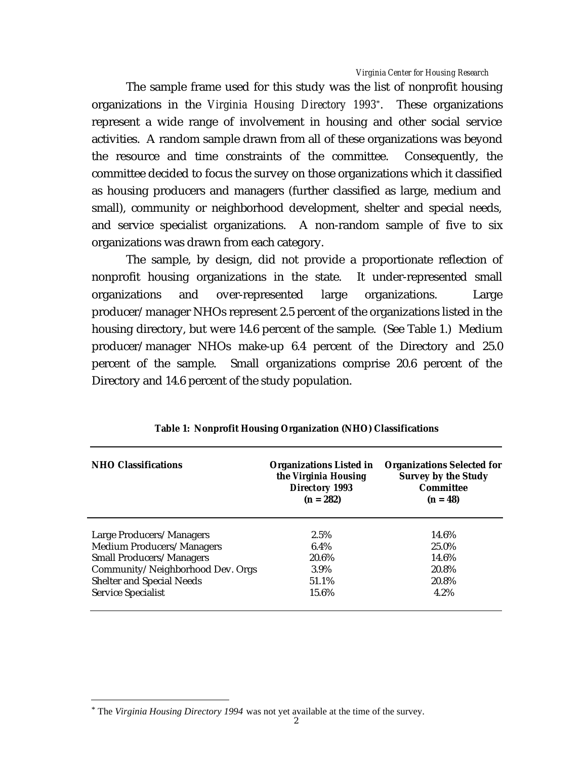The sample frame used for this study was the list of nonprofit housing organizations in the *Virginia Housing Directory 1993*\*. These organizations represent a wide range of involvement in housing and other social service activities. A random sample drawn from all of these organizations was beyond the resource and time constraints of the committee. Consequently, the committee decided to focus the survey on those organizations which it classified as housing producers and managers (further classified as large, medium and small), community or neighborhood development, shelter and special needs, and service specialist organizations. A non-random sample of five to six organizations was drawn from each category.

The sample, by design, did not provide a proportionate reflection of nonprofit housing organizations in the state. It under-represented small organizations and over-represented large organizations. Large producer/manager NHOs represent 2.5 percent of the organizations listed in the housing directory, but were 14.6 percent of the sample. (See Table 1.) Medium producer/manager NHOs make-up 6.4 percent of the Directory and 25.0 percent of the sample. Small organizations comprise 20.6 percent of the Directory and 14.6 percent of the study population.

| <b>NHO Classifications</b>       | <b>Organizations Listed in</b><br>the Virginia Housing<br><b>Directory 1993</b><br>$(n = 282)$ | <b>Organizations Selected for</b><br><b>Survey by the Study</b><br>Committee<br>$(n = 48)$ |
|----------------------------------|------------------------------------------------------------------------------------------------|--------------------------------------------------------------------------------------------|
| Large Producers/Managers         | 2.5%                                                                                           | 14.6%                                                                                      |
| <b>Medium Producers/Managers</b> | $6.4\%$                                                                                        | 25.0%                                                                                      |
| <b>Small Producers/Managers</b>  | 20.6%                                                                                          | 14.6%                                                                                      |
| Community/Neighborhood Dev. Orgs | 3.9%                                                                                           | 20.8%                                                                                      |
| <b>Shelter and Special Needs</b> | 51.1%                                                                                          | 20.8%                                                                                      |
| <b>Service Specialist</b>        | 15.6%                                                                                          | 4.2%                                                                                       |

|  | Table 1: Nonprofit Housing Organization (NHO) Classifications |  |  |  |
|--|---------------------------------------------------------------|--|--|--|
|--|---------------------------------------------------------------|--|--|--|

 $\overline{a}$ 

<sup>\*</sup> The *Virginia Housing Directory 1994* was not yet available at the time of the survey.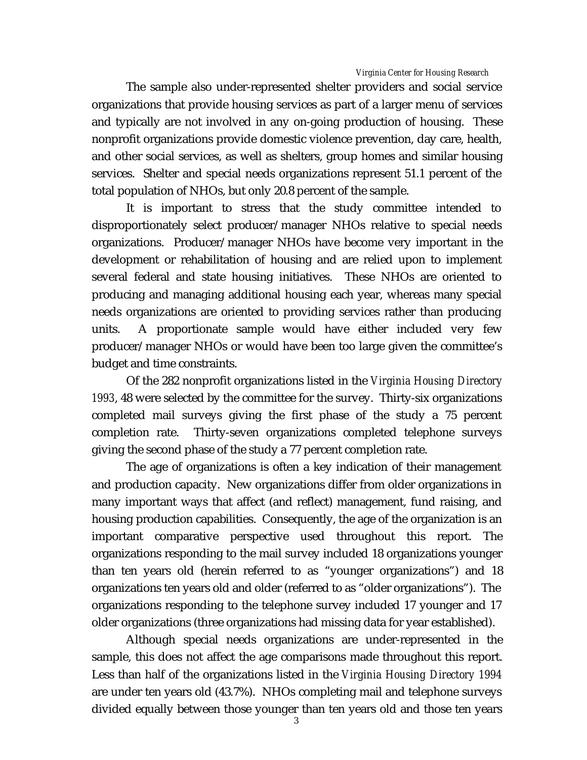The sample also under-represented shelter providers and social service organizations that provide housing services as part of a larger menu of services and typically are not involved in any on-going production of housing. These nonprofit organizations provide domestic violence prevention, day care, health, and other social services, as well as shelters, group homes and similar housing services. Shelter and special needs organizations represent 51.1 percent of the total population of NHOs, but only 20.8 percent of the sample.

It is important to stress that the study committee intended to disproportionately select producer/manager NHOs relative to special needs organizations. Producer/manager NHOs have become very important in the development or rehabilitation of housing and are relied upon to implement several federal and state housing initiatives. These NHOs are oriented to producing and managing additional housing each year, whereas many special needs organizations are oriented to providing services rather than producing units. A proportionate sample would have either included very few producer/manager NHOs or would have been too large given the committee's budget and time constraints.

Of the 282 nonprofit organizations listed in the *Virginia Housing Directory 1993*, 48 were selected by the committee for the survey. Thirty-six organizations completed mail surveys giving the first phase of the study a 75 percent completion rate. Thirty-seven organizations completed telephone surveys giving the second phase of the study a 77 percent completion rate.

The age of organizations is often a key indication of their management and production capacity. New organizations differ from older organizations in many important ways that affect (and reflect) management, fund raising, and housing production capabilities. Consequently, the age of the organization is an important comparative perspective used throughout this report. The organizations responding to the mail survey included 18 organizations younger than ten years old (herein referred to as "younger organizations") and 18 organizations ten years old and older (referred to as "older organizations"). The organizations responding to the telephone survey included 17 younger and 17 older organizations (three organizations had missing data for year established).

Although special needs organizations are under-represented in the sample, this does not affect the age comparisons made throughout this report. Less than half of the organizations listed in the *Virginia Housing Directory 1994* are under ten years old (43.7%). NHOs completing mail and telephone surveys divided equally between those younger than ten years old and those ten years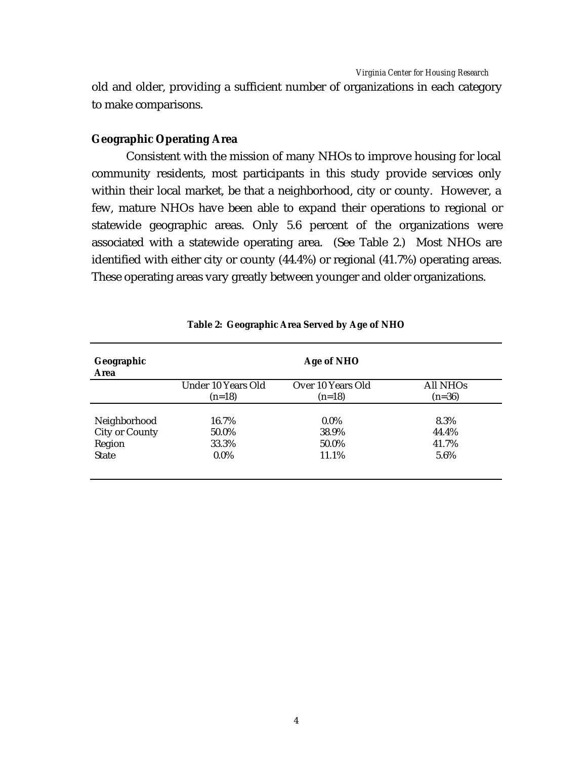old and older, providing a sufficient number of organizations in each category to make comparisons.

# **Geographic Operating Area**

Consistent with the mission of many NHOs to improve housing for local community residents, most participants in this study provide services only within their local market, be that a neighborhood, city or county. However, a few, mature NHOs have been able to expand their operations to regional or statewide geographic areas. Only 5.6 percent of the organizations were associated with a statewide operating area. (See Table 2.) Most NHOs are identified with either city or county (44.4%) or regional (41.7%) operating areas. These operating areas vary greatly between younger and older organizations.

| Geographic<br>Area    |                                | Age of NHO                    |                      |
|-----------------------|--------------------------------|-------------------------------|----------------------|
|                       | Under 10 Years Old<br>$(n=18)$ | Over 10 Years Old<br>$(n=18)$ | All NHOs<br>$(n=36)$ |
| Neighborhood          | 16.7%                          | $0.0\%$                       | 8.3%                 |
| <b>City or County</b> | 50.0%                          | 38.9%                         | 44.4%                |
| Region                | 33.3%                          | 50.0%                         | 41.7%                |
| <b>State</b>          | $0.0\%$                        | 11.1%                         | 5.6%                 |

#### **Table 2: Geographic Area Served by Age of NHO**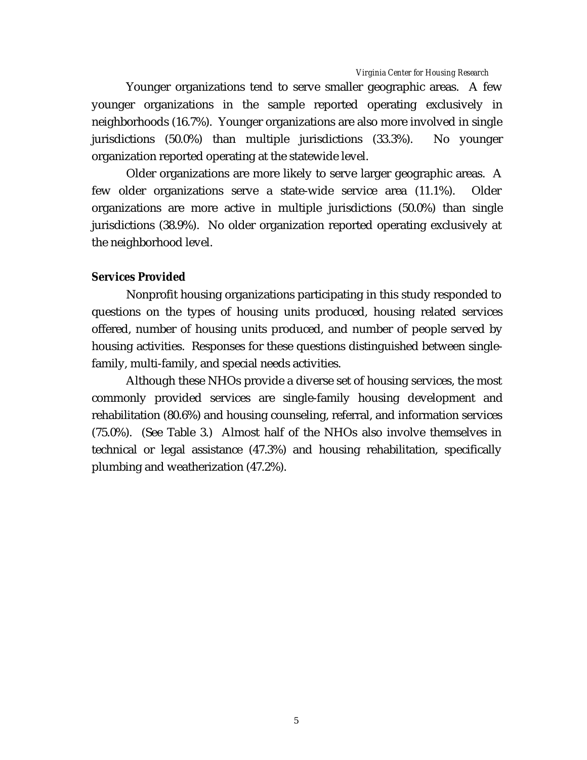Younger organizations tend to serve smaller geographic areas. A few younger organizations in the sample reported operating exclusively in neighborhoods (16.7%). Younger organizations are also more involved in single jurisdictions (50.0%) than multiple jurisdictions (33.3%). No younger organization reported operating at the statewide level.

Older organizations are more likely to serve larger geographic areas. A few older organizations serve a state-wide service area (11.1%). Older organizations are more active in multiple jurisdictions (50.0%) than single jurisdictions (38.9%). No older organization reported operating exclusively at the neighborhood level.

## **Services Provided**

Nonprofit housing organizations participating in this study responded to questions on the types of housing units produced, housing related services offered, number of housing units produced, and number of people served by housing activities. Responses for these questions distinguished between singlefamily, multi-family, and special needs activities.

Although these NHOs provide a diverse set of housing services, the most commonly provided services are single-family housing development and rehabilitation (80.6%) and housing counseling, referral, and information services (75.0%). (See Table 3.) Almost half of the NHOs also involve themselves in technical or legal assistance (47.3%) and housing rehabilitation, specifically plumbing and weatherization (47.2%).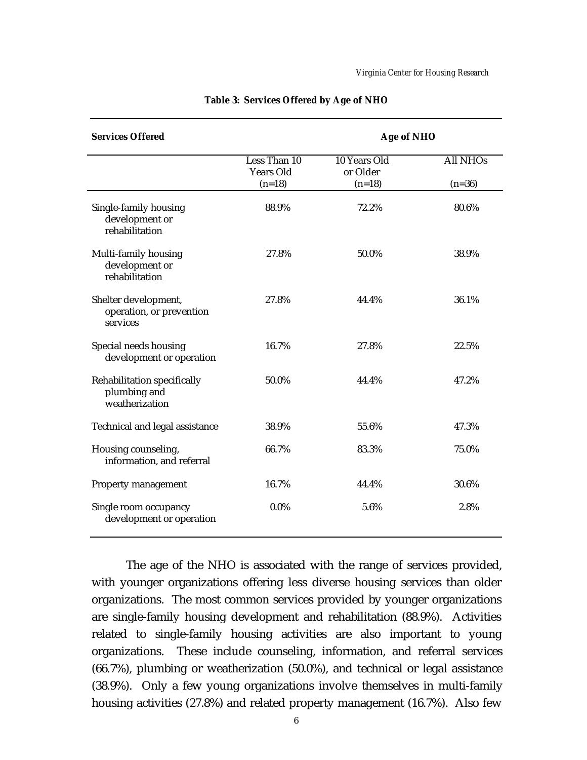| <b>Services Offered</b>                                              |                                  | <b>Age of NHO</b>        |                 |  |
|----------------------------------------------------------------------|----------------------------------|--------------------------|-----------------|--|
|                                                                      | Less Than 10<br><b>Years Old</b> | 10 Years Old<br>or Older | <b>All NHOs</b> |  |
|                                                                      | $(n=18)$                         | $(n=18)$                 | $(n=36)$        |  |
| Single-family housing<br>development or<br>rehabilitation            | 88.9%                            | 72.2%                    | 80.6%           |  |
| Multi-family housing<br>development or<br>rehabilitation             | 27.8%                            | 50.0%                    | 38.9%           |  |
| Shelter development,<br>operation, or prevention<br>services         | 27.8%                            | 44.4%                    | 36.1%           |  |
| Special needs housing<br>development or operation                    | 16.7%                            | 27.8%                    | 22.5%           |  |
| <b>Rehabilitation specifically</b><br>plumbing and<br>weatherization | 50.0%                            | 44.4%                    | 47.2%           |  |
| <b>Technical and legal assistance</b>                                | 38.9%                            | 55.6%                    | 47.3%           |  |
| Housing counseling,<br>information, and referral                     | 66.7%                            | 83.3%                    | 75.0%           |  |
| <b>Property management</b>                                           | 16.7%                            | 44.4%                    | 30.6%           |  |
| Single room occupancy<br>development or operation                    | $0.0\%$                          | 5.6%                     | 2.8%            |  |

#### **Table 3: Services Offered by Age of NHO**

The age of the NHO is associated with the range of services provided, with younger organizations offering less diverse housing services than older organizations. The most common services provided by younger organizations are single-family housing development and rehabilitation (88.9%). Activities related to single-family housing activities are also important to young organizations. These include counseling, information, and referral services (66.7%), plumbing or weatherization (50.0%), and technical or legal assistance (38.9%). Only a few young organizations involve themselves in multi-family housing activities (27.8%) and related property management (16.7%). Also few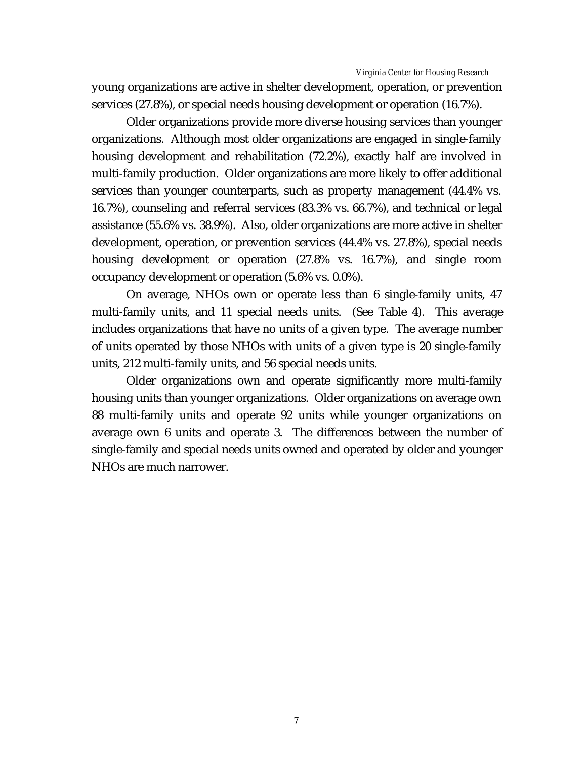young organizations are active in shelter development, operation, or prevention services (27.8%), or special needs housing development or operation (16.7%).

Older organizations provide more diverse housing services than younger organizations. Although most older organizations are engaged in single-family housing development and rehabilitation (72.2%), exactly half are involved in multi-family production. Older organizations are more likely to offer additional services than younger counterparts, such as property management (44.4% vs. 16.7%), counseling and referral services (83.3% vs. 66.7%), and technical or legal assistance (55.6% vs. 38.9%). Also, older organizations are more active in shelter development, operation, or prevention services (44.4% vs. 27.8%), special needs housing development or operation (27.8% vs. 16.7%), and single room occupancy development or operation (5.6% vs. 0.0%).

On average, NHOs own or operate less than 6 single-family units, 47 multi-family units, and 11 special needs units. (See Table 4). This average includes organizations that have no units of a given type. The average number of units operated by those NHOs with units of a given type is 20 single-family units, 212 multi-family units, and 56 special needs units.

Older organizations own and operate significantly more multi-family housing units than younger organizations. Older organizations on average own 88 multi-family units and operate 92 units while younger organizations on average own 6 units and operate 3. The differences between the number of single-family and special needs units owned and operated by older and younger NHOs are much narrower.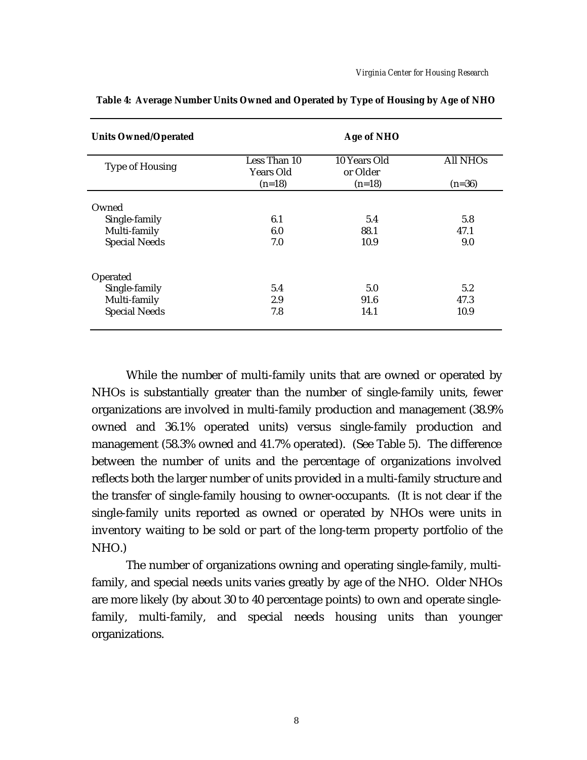| <b>Units Owned/Operated</b> |                                  | Age of NHO               |                 |  |
|-----------------------------|----------------------------------|--------------------------|-----------------|--|
| <b>Type of Housing</b>      | Less Than 10<br><b>Years Old</b> | 10 Years Old<br>or Older | <b>All NHOs</b> |  |
|                             | $(n=18)$                         | $(n=18)$                 | $(n=36)$        |  |
| Owned                       |                                  |                          |                 |  |
| Single-family               | 6.1                              | 5.4                      | 5.8             |  |
| Multi-family                | 6.0                              | 88.1                     | 47.1            |  |
| <b>Special Needs</b>        | 7.0                              | 10.9                     | 9.0             |  |
| Operated                    |                                  |                          |                 |  |
| Single-family               | 5.4                              | 5.0                      | 5.2             |  |
| Multi-family                | 2.9                              | 91.6                     | 47.3            |  |
| <b>Special Needs</b>        | 7.8                              | 14.1                     | 10.9            |  |

**Table 4: Average Number Units Owned and Operated by Type of Housing by Age of NHO**

While the number of multi-family units that are owned or operated by NHOs is substantially greater than the number of single-family units, fewer organizations are involved in multi-family production and management (38.9% owned and 36.1% operated units) versus single-family production and management (58.3% owned and 41.7% operated). (See Table 5). The difference between the number of units and the percentage of organizations involved reflects both the larger number of units provided in a multi-family structure and the transfer of single-family housing to owner-occupants. (It is not clear if the single-family units reported as owned or operated by NHOs were units in inventory waiting to be sold or part of the long-term property portfolio of the NHO.)

The number of organizations owning and operating single-family, multifamily, and special needs units varies greatly by age of the NHO. Older NHOs are more likely (by about 30 to 40 percentage points) to own and operate singlefamily, multi-family, and special needs housing units than younger organizations.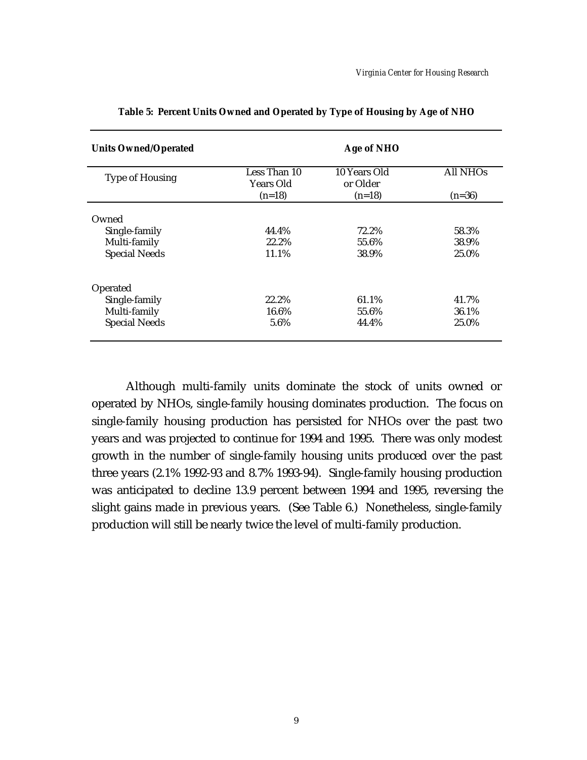| <b>Units Owned/Operated</b> |                                       | Age of NHO                           |                             |
|-----------------------------|---------------------------------------|--------------------------------------|-----------------------------|
| <b>Type of Housing</b>      | Less Than 10<br>Years Old<br>$(n=18)$ | 10 Years Old<br>or Older<br>$(n=18)$ | <b>All NHOs</b><br>$(n=36)$ |
|                             |                                       |                                      |                             |
| Owned                       |                                       |                                      |                             |
| Single-family               | 44.4%                                 | 72.2%                                | 58.3%                       |
| Multi-family                | 22.2%                                 | 55.6%                                | 38.9%                       |
| <b>Special Needs</b>        | 11.1%                                 | 38.9%                                | 25.0%                       |
| Operated                    |                                       |                                      |                             |
| Single-family               | 22.2%                                 | 61.1%                                | 41.7%                       |
| Multi-family                | 16.6%                                 | 55.6%                                | 36.1%                       |
| <b>Special Needs</b>        | 5.6%                                  | 44.4%                                | 25.0%                       |

**Table 5: Percent Units Owned and Operated by Type of Housing by Age of NHO**

Although multi-family units dominate the stock of units owned or operated by NHOs, single-family housing dominates production. The focus on single-family housing production has persisted for NHOs over the past two years and was projected to continue for 1994 and 1995. There was only modest growth in the number of single-family housing units produced over the past three years (2.1% 1992-93 and 8.7% 1993-94). Single-family housing production was anticipated to decline 13.9 percent between 1994 and 1995, reversing the slight gains made in previous years. (See Table 6.) Nonetheless, single-family production will still be nearly twice the level of multi-family production.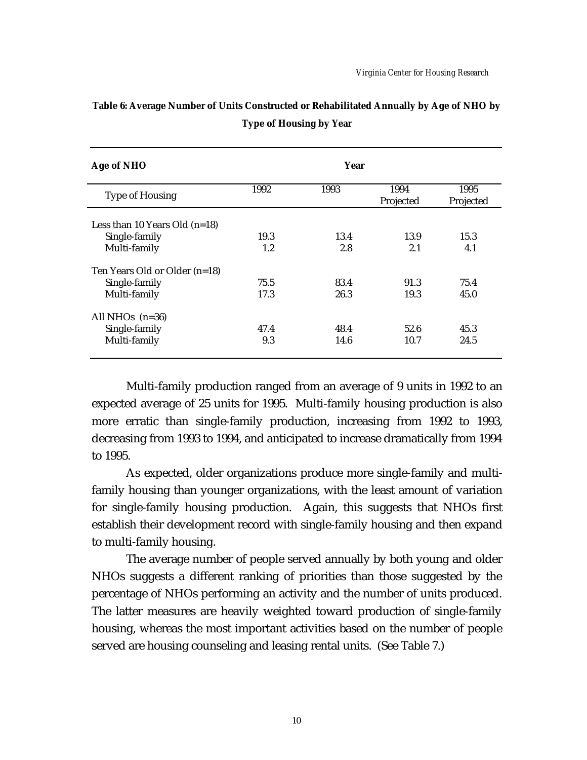| Age of NHO                      |      | Year |                   |                   |
|---------------------------------|------|------|-------------------|-------------------|
| <b>Type of Housing</b>          | 1992 | 1993 | 1994<br>Projected | 1995<br>Projected |
| Less than 10 Years Old $(n=18)$ |      |      |                   |                   |
| Single-family                   | 19.3 | 13.4 | 13.9              | 15.3              |
| Multi-family                    | 1.2  | 2.8  | 2.1               | 4.1               |
| Ten Years Old or Older (n=18)   |      |      |                   |                   |
| Single-family                   | 75.5 | 83.4 | 91.3              | 75.4              |
| Multi-family                    | 17.3 | 26.3 | 19.3              | 45.0              |
| All NHOs $(n=36)$               |      |      |                   |                   |
| Single-family                   | 47.4 | 48.4 | 52.6              | 45.3              |
| Multi-family                    | 9.3  | 14.6 | 10.7              | 24.5              |

**Table 6: Average Number of Units Constructed or Rehabilitated Annually by Age of NHO by Type of Housing by Year**

Multi-family production ranged from an average of 9 units in 1992 to an expected average of 25 units for 1995. Multi-family housing production is also more erratic than single-family production, increasing from 1992 to 1993, decreasing from 1993 to 1994, and anticipated to increase dramatically from 1994 to 1995.

As expected, older organizations produce more single-family and multifamily housing than younger organizations, with the least amount of variation for single-family housing production. Again, this suggests that NHOs first establish their development record with single-family housing and then expand to multi-family housing.

The average number of people served annually by both young and older NHOs suggests a different ranking of priorities than those suggested by the percentage of NHOs performing an activity and the number of units produced. The latter measures are heavily weighted toward production of single-family housing, whereas the most important activities based on the number of people served are housing counseling and leasing rental units. (See Table 7.)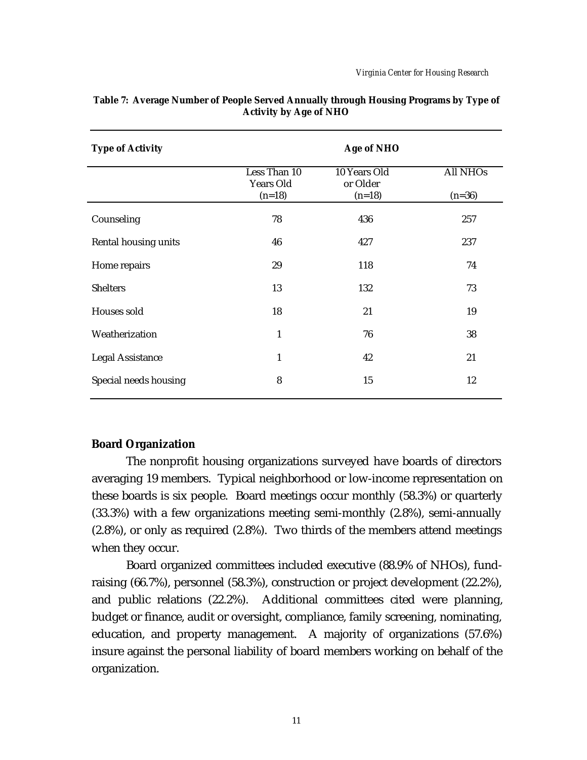| <b>Type of Activity</b>     |                                              | Age of NHO                           |                             |
|-----------------------------|----------------------------------------------|--------------------------------------|-----------------------------|
|                             | Less Than 10<br><b>Years Old</b><br>$(n=18)$ | 10 Years Old<br>or Older<br>$(n=18)$ | <b>All NHOs</b><br>$(n=36)$ |
| Counseling                  | 78                                           | 436                                  | 257                         |
| <b>Rental housing units</b> | 46                                           | 427                                  | 237                         |
| Home repairs                | 29                                           | 118                                  | 74                          |
| <b>Shelters</b>             | 13                                           | 132                                  | 73                          |
| <b>Houses sold</b>          | 18                                           | 21                                   | 19                          |
| Weatherization              | $\mathbf{1}$                                 | 76                                   | 38                          |
| <b>Legal Assistance</b>     | $\mathbf{1}$                                 | 42                                   | 21                          |
| Special needs housing       | 8                                            | 15                                   | 12                          |

### **Table 7: Average Number of People Served Annually through Housing Programs by Type of Activity by Age of NHO**

## **Board Organization**

The nonprofit housing organizations surveyed have boards of directors averaging 19 members. Typical neighborhood or low-income representation on these boards is six people. Board meetings occur monthly (58.3%) or quarterly (33.3%) with a few organizations meeting semi-monthly (2.8%), semi-annually (2.8%), or only as required (2.8%). Two thirds of the members attend meetings when they occur.

Board organized committees included executive (88.9% of NHOs), fundraising (66.7%), personnel (58.3%), construction or project development (22.2%), and public relations (22.2%). Additional committees cited were planning, budget or finance, audit or oversight, compliance, family screening, nominating, education, and property management. A majority of organizations (57.6%) insure against the personal liability of board members working on behalf of the organization.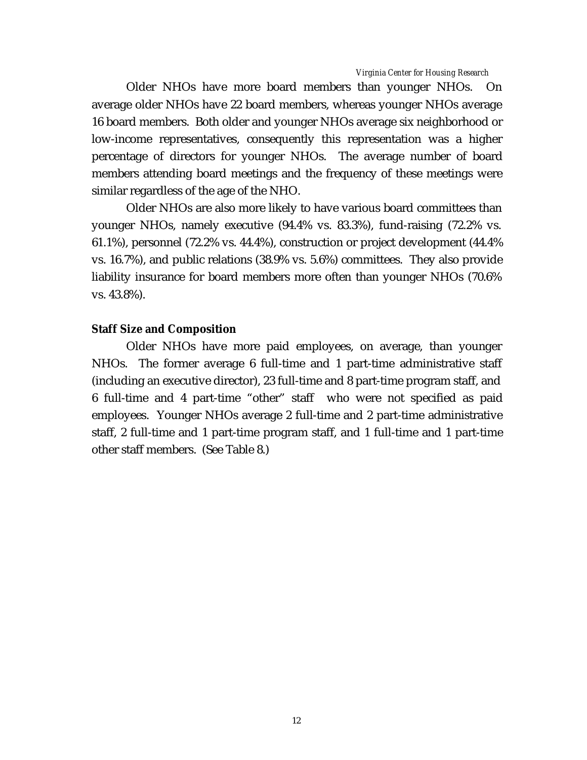Older NHOs have more board members than younger NHOs. On average older NHOs have 22 board members, whereas younger NHOs average 16 board members. Both older and younger NHOs average six neighborhood or low-income representatives, consequently this representation was a higher percentage of directors for younger NHOs. The average number of board members attending board meetings and the frequency of these meetings were similar regardless of the age of the NHO.

Older NHOs are also more likely to have various board committees than younger NHOs, namely executive (94.4% vs. 83.3%), fund-raising (72.2% vs. 61.1%), personnel (72.2% vs. 44.4%), construction or project development (44.4% vs. 16.7%), and public relations (38.9% vs. 5.6%) committees. They also provide liability insurance for board members more often than younger NHOs (70.6% vs. 43.8%).

### **Staff Size and Composition**

Older NHOs have more paid employees, on average, than younger NHOs. The former average 6 full-time and 1 part-time administrative staff (including an executive director), 23 full-time and 8 part-time program staff, and 6 full-time and 4 part-time "other" staff who were not specified as paid employees. Younger NHOs average 2 full-time and 2 part-time administrative staff, 2 full-time and 1 part-time program staff, and 1 full-time and 1 part-time other staff members. (See Table 8.)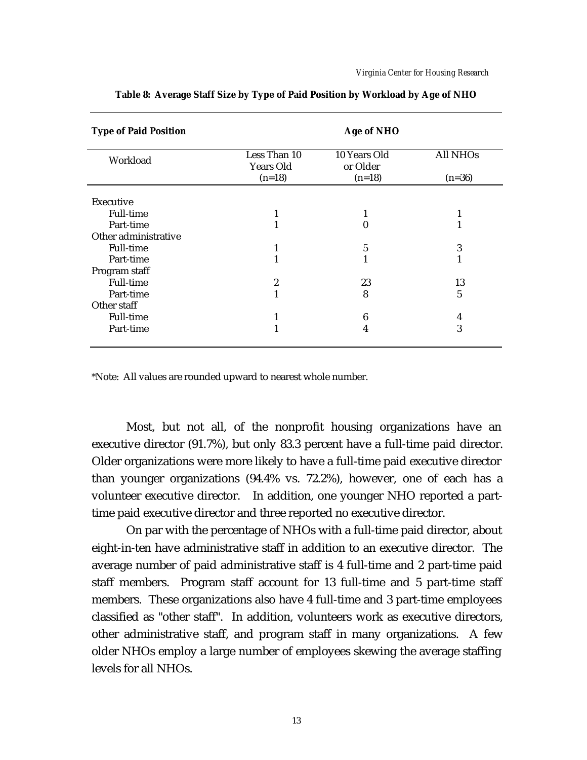| <b>Type of Paid Position</b> | Age of NHO                                   |                                      |                             |  |
|------------------------------|----------------------------------------------|--------------------------------------|-----------------------------|--|
| Workload                     | Less Than 10<br><b>Years Old</b><br>$(n=18)$ | 10 Years Old<br>or Older<br>$(n=18)$ | <b>All NHOs</b><br>$(n=36)$ |  |
|                              |                                              |                                      |                             |  |
| <b>Executive</b>             |                                              |                                      |                             |  |
| <b>Full-time</b>             |                                              | 1                                    | 1                           |  |
| Part-time                    |                                              | $_{0}$                               |                             |  |
| Other administrative         |                                              |                                      |                             |  |
| <b>Full-time</b>             |                                              | 5                                    | 3                           |  |
| Part-time                    |                                              |                                      | 1                           |  |
| Program staff                |                                              |                                      |                             |  |
| <b>Full-time</b>             | $\boldsymbol{2}$                             | 23                                   | 13                          |  |
| Part-time                    |                                              | 8                                    | $\sqrt{5}$                  |  |
| Other staff                  |                                              |                                      |                             |  |
| <b>Full-time</b>             |                                              | 6                                    | 4                           |  |
| Part-time                    |                                              | 4                                    | 3                           |  |

**Table 8: Average Staff Size by Type of Paid Position by Workload by Age of NHO**

\*Note: All values are rounded upward to nearest whole number.

Most, but not all, of the nonprofit housing organizations have an executive director (91.7%), but only 83.3 percent have a full-time paid director. Older organizations were more likely to have a full-time paid executive director than younger organizations (94.4% vs. 72.2%), however, one of each has a volunteer executive director. In addition, one younger NHO reported a parttime paid executive director and three reported no executive director.

On par with the percentage of NHOs with a full-time paid director, about eight-in-ten have administrative staff in addition to an executive director. The average number of paid administrative staff is 4 full-time and 2 part-time paid staff members. Program staff account for 13 full-time and 5 part-time staff members. These organizations also have 4 full-time and 3 part-time employees classified as "other staff". In addition, volunteers work as executive directors, other administrative staff, and program staff in many organizations. A few older NHOs employ a large number of employees skewing the average staffing levels for all NHOs.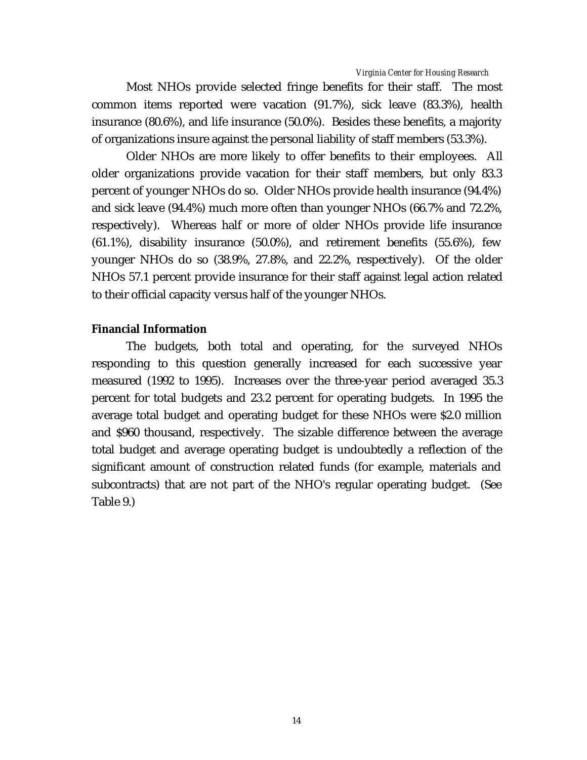Most NHOs provide selected fringe benefits for their staff. The most common items reported were vacation (91.7%), sick leave (83.3%), health insurance (80.6%), and life insurance (50.0%). Besides these benefits, a majority of organizations insure against the personal liability of staff members (53.3%).

Older NHOs are more likely to offer benefits to their employees. All older organizations provide vacation for their staff members, but only 83.3 percent of younger NHOs do so. Older NHOs provide health insurance (94.4%) and sick leave (94.4%) much more often than younger NHOs (66.7% and 72.2%, respectively). Whereas half or more of older NHOs provide life insurance (61.1%), disability insurance (50.0%), and retirement benefits (55.6%), few younger NHOs do so (38.9%, 27.8%, and 22.2%, respectively). Of the older NHOs 57.1 percent provide insurance for their staff against legal action related to their official capacity versus half of the younger NHOs.

# **Financial Information**

The budgets, both total and operating, for the surveyed NHOs responding to this question generally increased for each successive year measured (1992 to 1995). Increases over the three-year period averaged 35.3 percent for total budgets and 23.2 percent for operating budgets. In 1995 the average total budget and operating budget for these NHOs were \$2.0 million and \$960 thousand, respectively. The sizable difference between the average total budget and average operating budget is undoubtedly a reflection of the significant amount of construction related funds (for example, materials and subcontracts) that are not part of the NHO's regular operating budget. (See Table 9.)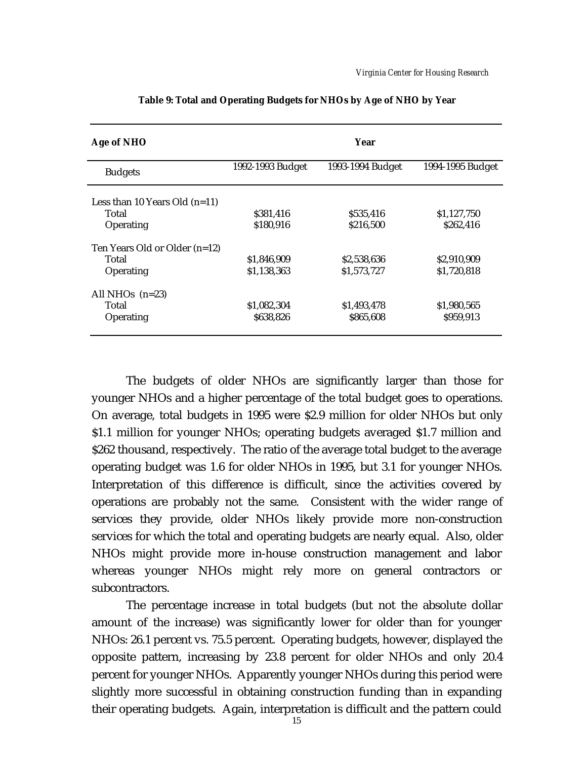| Age of NHO                      |                  | Year             |                  |
|---------------------------------|------------------|------------------|------------------|
| <b>Budgets</b>                  | 1992-1993 Budget | 1993-1994 Budget | 1994-1995 Budget |
| Less than 10 Years Old $(n=11)$ |                  |                  |                  |
| Total                           | \$381,416        | \$535,416        | \$1,127,750      |
| Operating                       | \$180,916        | \$216,500        | \$262,416        |
| Ten Years Old or Older (n=12)   |                  |                  |                  |
| Total                           | \$1.846.909      | \$2,538,636      | \$2,910,909      |
| Operating                       | \$1,138,363      | \$1,573,727      | \$1,720,818      |
| All NHOs $(n=23)$               |                  |                  |                  |
| Total                           | \$1,082,304      | \$1,493,478      | \$1,980,565      |
| Operating                       | \$638,826        | \$865,608        | \$959,913        |
|                                 |                  |                  |                  |

**Table 9: Total and Operating Budgets for NHOs by Age of NHO by Year**

The budgets of older NHOs are significantly larger than those for younger NHOs and a higher percentage of the total budget goes to operations. On average, total budgets in 1995 were \$2.9 million for older NHOs but only \$1.1 million for younger NHOs; operating budgets averaged \$1.7 million and \$262 thousand, respectively. The ratio of the average total budget to the average operating budget was 1.6 for older NHOs in 1995, but 3.1 for younger NHOs. Interpretation of this difference is difficult, since the activities covered by operations are probably not the same. Consistent with the wider range of services they provide, older NHOs likely provide more non-construction services for which the total and operating budgets are nearly equal. Also, older NHOs might provide more in-house construction management and labor whereas younger NHOs might rely more on general contractors or subcontractors.

The percentage increase in total budgets (but not the absolute dollar amount of the increase) was significantly lower for older than for younger NHOs: 26.1 percent vs. 75.5 percent. Operating budgets, however, displayed the opposite pattern, increasing by 23.8 percent for older NHOs and only 20.4 percent for younger NHOs. Apparently younger NHOs during this period were slightly more successful in obtaining construction funding than in expanding their operating budgets. Again, interpretation is difficult and the pattern could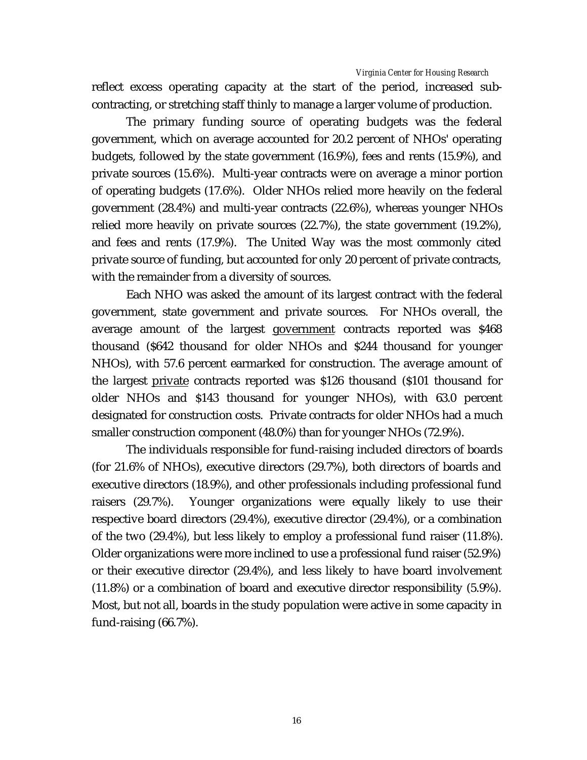reflect excess operating capacity at the start of the period, increased subcontracting, or stretching staff thinly to manage a larger volume of production.

The primary funding source of operating budgets was the federal government, which on average accounted for 20.2 percent of NHOs' operating budgets, followed by the state government (16.9%), fees and rents (15.9%), and private sources (15.6%). Multi-year contracts were on average a minor portion of operating budgets (17.6%). Older NHOs relied more heavily on the federal government (28.4%) and multi-year contracts (22.6%), whereas younger NHOs relied more heavily on private sources (22.7%), the state government (19.2%), and fees and rents (17.9%). The United Way was the most commonly cited private source of funding, but accounted for only 20 percent of private contracts, with the remainder from a diversity of sources.

Each NHO was asked the amount of its largest contract with the federal government, state government and private sources. For NHOs overall, the average amount of the largest government contracts reported was \$468 thousand (\$642 thousand for older NHOs and \$244 thousand for younger NHOs), with 57.6 percent earmarked for construction. The average amount of the largest private contracts reported was \$126 thousand (\$101 thousand for older NHOs and \$143 thousand for younger NHOs), with 63.0 percent designated for construction costs. Private contracts for older NHOs had a much smaller construction component (48.0%) than for younger NHOs (72.9%).

The individuals responsible for fund-raising included directors of boards (for 21.6% of NHOs), executive directors (29.7%), both directors of boards and executive directors (18.9%), and other professionals including professional fund raisers (29.7%). Younger organizations were equally likely to use their respective board directors (29.4%), executive director (29.4%), or a combination of the two (29.4%), but less likely to employ a professional fund raiser (11.8%). Older organizations were more inclined to use a professional fund raiser (52.9%) or their executive director (29.4%), and less likely to have board involvement (11.8%) or a combination of board and executive director responsibility (5.9%). Most, but not all, boards in the study population were active in some capacity in fund-raising (66.7%).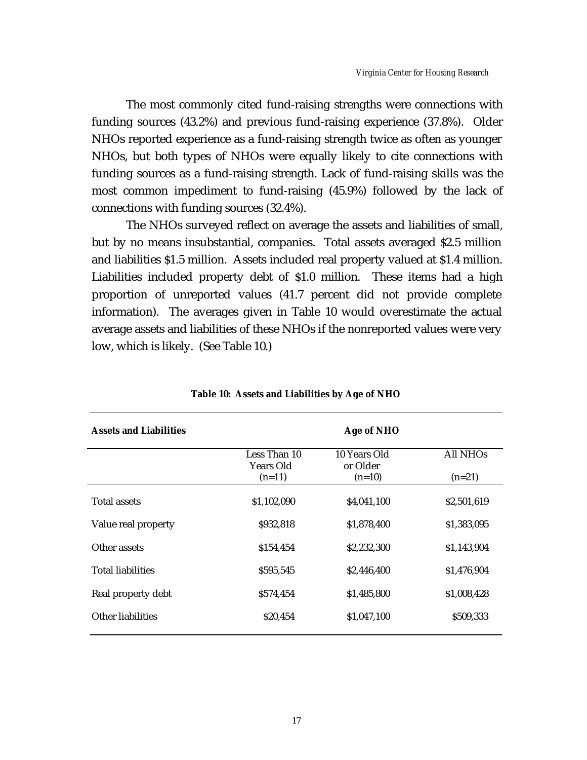The most commonly cited fund-raising strengths were connections with funding sources (43.2%) and previous fund-raising experience (37.8%). Older NHOs reported experience as a fund-raising strength twice as often as younger NHOs, but both types of NHOs were equally likely to cite connections with funding sources as a fund-raising strength. Lack of fund-raising skills was the most common impediment to fund-raising (45.9%) followed by the lack of connections with funding sources (32.4%).

The NHOs surveyed reflect on average the assets and liabilities of small, but by no means insubstantial, companies. Total assets averaged \$2.5 million and liabilities \$1.5 million. Assets included real property valued at \$1.4 million. Liabilities included property debt of \$1.0 million. These items had a high proportion of unreported values (41.7 percent did not provide complete information). The averages given in Table 10 would overestimate the actual average assets and liabilities of these NHOs if the nonreported values were very low, which is likely. (See Table 10.)

| <b>Assets and Liabilities</b> | Age of NHO                            |                                      |                      |
|-------------------------------|---------------------------------------|--------------------------------------|----------------------|
|                               | Less Than 10<br>Years Old<br>$(n=11)$ | 10 Years Old<br>or Older<br>$(n=10)$ | All NHOs<br>$(n=21)$ |
| <b>Total assets</b>           | \$1,102,090                           | \$4,041,100                          | \$2,501,619          |
| Value real property           | \$932,818                             | \$1,878,400                          | \$1,383,095          |
| Other assets                  | \$154,454                             | \$2,232,300                          | \$1,143,904          |
| <b>Total liabilities</b>      | \$595,545                             | \$2,446,400                          | \$1,476,904          |
| Real property debt            | \$574,454                             | \$1,485,800                          | \$1,008,428          |
| <b>Other liabilities</b>      | \$20,454                              | \$1,047,100                          | \$509,333            |

**Table 10: Assets and Liabilities by Age of NHO**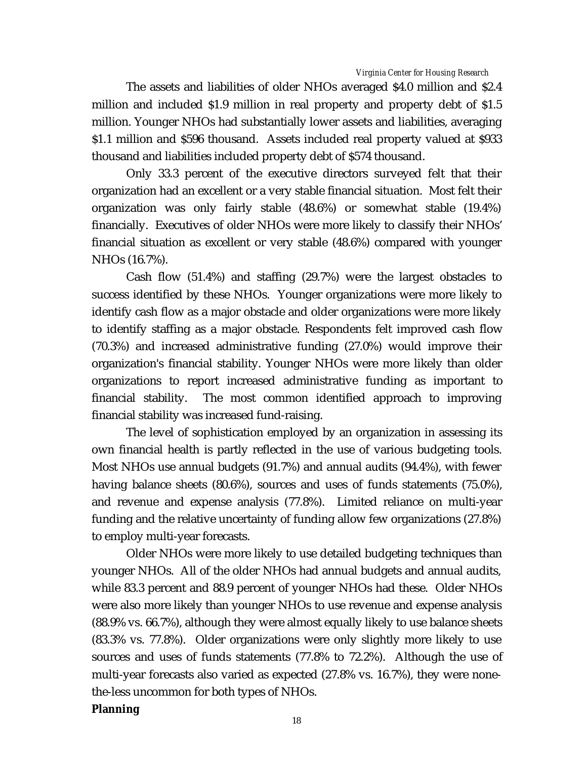The assets and liabilities of older NHOs averaged \$4.0 million and \$2.4 million and included \$1.9 million in real property and property debt of \$1.5 million. Younger NHOs had substantially lower assets and liabilities, averaging \$1.1 million and \$596 thousand. Assets included real property valued at \$933 thousand and liabilities included property debt of \$574 thousand.

Only 33.3 percent of the executive directors surveyed felt that their organization had an excellent or a very stable financial situation. Most felt their organization was only fairly stable (48.6%) or somewhat stable (19.4%) financially. Executives of older NHOs were more likely to classify their NHOs' financial situation as excellent or very stable (48.6%) compared with younger NHOs (16.7%).

Cash flow (51.4%) and staffing (29.7%) were the largest obstacles to success identified by these NHOs. Younger organizations were more likely to identify cash flow as a major obstacle and older organizations were more likely to identify staffing as a major obstacle. Respondents felt improved cash flow (70.3%) and increased administrative funding (27.0%) would improve their organization's financial stability. Younger NHOs were more likely than older organizations to report increased administrative funding as important to financial stability. The most common identified approach to improving financial stability was increased fund-raising.

The level of sophistication employed by an organization in assessing its own financial health is partly reflected in the use of various budgeting tools. Most NHOs use annual budgets (91.7%) and annual audits (94.4%), with fewer having balance sheets (80.6%), sources and uses of funds statements (75.0%), and revenue and expense analysis (77.8%). Limited reliance on multi-year funding and the relative uncertainty of funding allow few organizations (27.8%) to employ multi-year forecasts.

Older NHOs were more likely to use detailed budgeting techniques than younger NHOs. All of the older NHOs had annual budgets and annual audits, while 83.3 percent and 88.9 percent of younger NHOs had these. Older NHOs were also more likely than younger NHOs to use revenue and expense analysis (88.9% vs. 66.7%), although they were almost equally likely to use balance sheets (83.3% vs. 77.8%). Older organizations were only slightly more likely to use sources and uses of funds statements (77.8% to 72.2%). Although the use of multi-year forecasts also varied as expected (27.8% vs. 16.7%), they were nonethe-less uncommon for both types of NHOs.

## **Planning**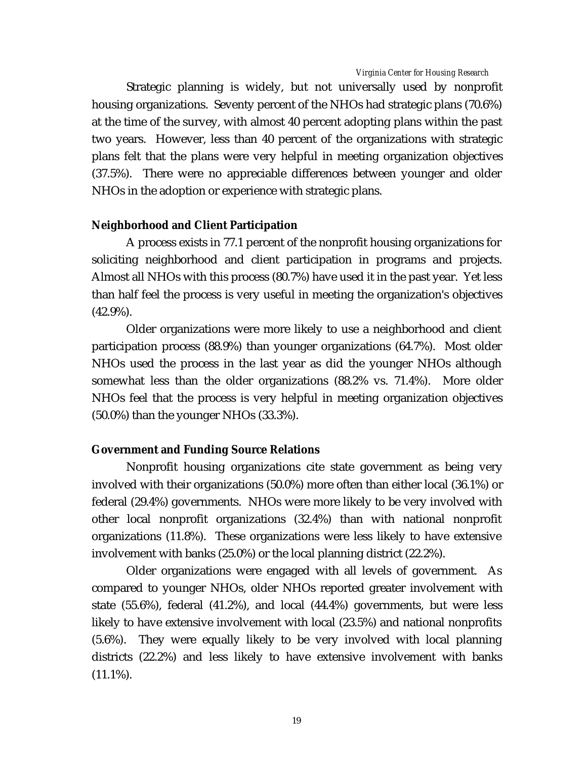Strategic planning is widely, but not universally used by nonprofit housing organizations. Seventy percent of the NHOs had strategic plans (70.6%) at the time of the survey, with almost 40 percent adopting plans within the past two years. However, less than 40 percent of the organizations with strategic plans felt that the plans were very helpful in meeting organization objectives (37.5%). There were no appreciable differences between younger and older NHOs in the adoption or experience with strategic plans.

### **Neighborhood and Client Participation**

A process exists in 77.1 percent of the nonprofit housing organizations for soliciting neighborhood and client participation in programs and projects. Almost all NHOs with this process (80.7%) have used it in the past year. Yet less than half feel the process is very useful in meeting the organization's objectives (42.9%).

Older organizations were more likely to use a neighborhood and client participation process (88.9%) than younger organizations (64.7%). Most older NHOs used the process in the last year as did the younger NHOs although somewhat less than the older organizations (88.2% vs. 71.4%). More older NHOs feel that the process is very helpful in meeting organization objectives (50.0%) than the younger NHOs (33.3%).

## **Government and Funding Source Relations**

Nonprofit housing organizations cite state government as being very involved with their organizations (50.0%) more often than either local (36.1%) or federal (29.4%) governments. NHOs were more likely to be very involved with other local nonprofit organizations (32.4%) than with national nonprofit organizations (11.8%). These organizations were less likely to have extensive involvement with banks (25.0%) or the local planning district (22.2%).

Older organizations were engaged with all levels of government. As compared to younger NHOs, older NHOs reported greater involvement with state (55.6%), federal (41.2%), and local (44.4%) governments, but were less likely to have extensive involvement with local (23.5%) and national nonprofits (5.6%). They were equally likely to be very involved with local planning districts (22.2%) and less likely to have extensive involvement with banks  $(11.1\%).$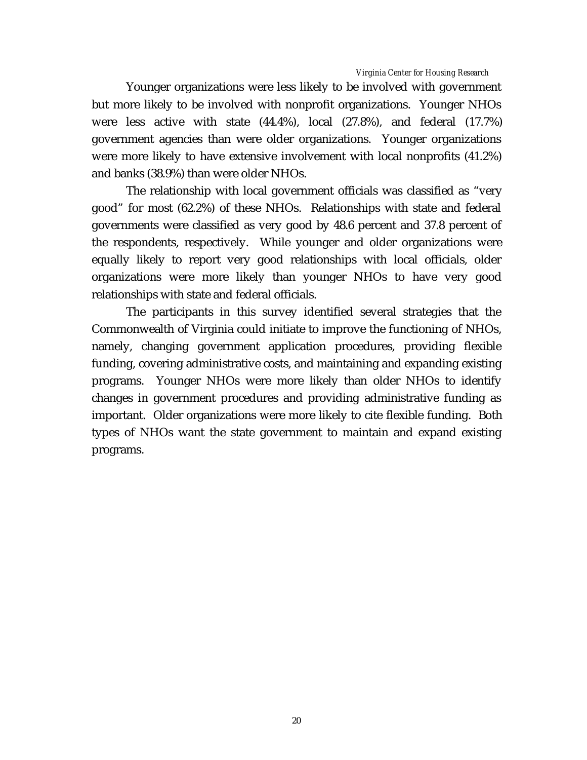Younger organizations were less likely to be involved with government but more likely to be involved with nonprofit organizations. Younger NHOs were less active with state (44.4%), local (27.8%), and federal (17.7%) government agencies than were older organizations. Younger organizations were more likely to have extensive involvement with local nonprofits (41.2%) and banks (38.9%) than were older NHOs.

The relationship with local government officials was classified as "very good" for most (62.2%) of these NHOs. Relationships with state and federal governments were classified as very good by 48.6 percent and 37.8 percent of the respondents, respectively. While younger and older organizations were equally likely to report very good relationships with local officials, older organizations were more likely than younger NHOs to have very good relationships with state and federal officials.

The participants in this survey identified several strategies that the Commonwealth of Virginia could initiate to improve the functioning of NHOs, namely, changing government application procedures, providing flexible funding, covering administrative costs, and maintaining and expanding existing programs. Younger NHOs were more likely than older NHOs to identify changes in government procedures and providing administrative funding as important. Older organizations were more likely to cite flexible funding. Both types of NHOs want the state government to maintain and expand existing programs.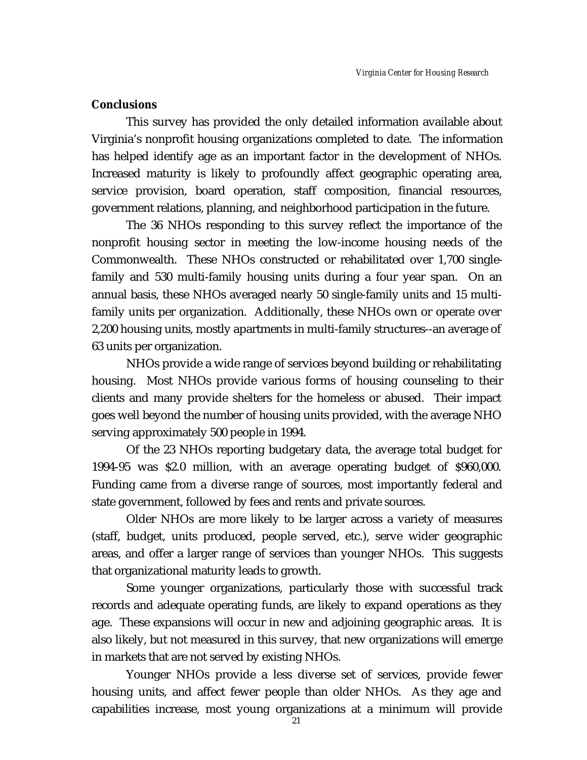## **Conclusions**

This survey has provided the only detailed information available about Virginia's nonprofit housing organizations completed to date. The information has helped identify age as an important factor in the development of NHOs. Increased maturity is likely to profoundly affect geographic operating area, service provision, board operation, staff composition, financial resources, government relations, planning, and neighborhood participation in the future.

The 36 NHOs responding to this survey reflect the importance of the nonprofit housing sector in meeting the low-income housing needs of the Commonwealth. These NHOs constructed or rehabilitated over 1,700 singlefamily and 530 multi-family housing units during a four year span. On an annual basis, these NHOs averaged nearly 50 single-family units and 15 multifamily units per organization. Additionally, these NHOs own or operate over 2,200 housing units, mostly apartments in multi-family structures--an average of 63 units per organization.

NHOs provide a wide range of services beyond building or rehabilitating housing. Most NHOs provide various forms of housing counseling to their clients and many provide shelters for the homeless or abused. Their impact goes well beyond the number of housing units provided, with the average NHO serving approximately 500 people in 1994.

Of the 23 NHOs reporting budgetary data, the average total budget for 1994-95 was \$2.0 million, with an average operating budget of \$960,000. Funding came from a diverse range of sources, most importantly federal and state government, followed by fees and rents and private sources.

Older NHOs are more likely to be larger across a variety of measures (staff, budget, units produced, people served, etc.), serve wider geographic areas, and offer a larger range of services than younger NHOs. This suggests that organizational maturity leads to growth.

Some younger organizations, particularly those with successful track records and adequate operating funds, are likely to expand operations as they age. These expansions will occur in new and adjoining geographic areas. It is also likely, but not measured in this survey, that new organizations will emerge in markets that are not served by existing NHOs.

Younger NHOs provide a less diverse set of services, provide fewer housing units, and affect fewer people than older NHOs. As they age and capabilities increase, most young organizations at a minimum will provide